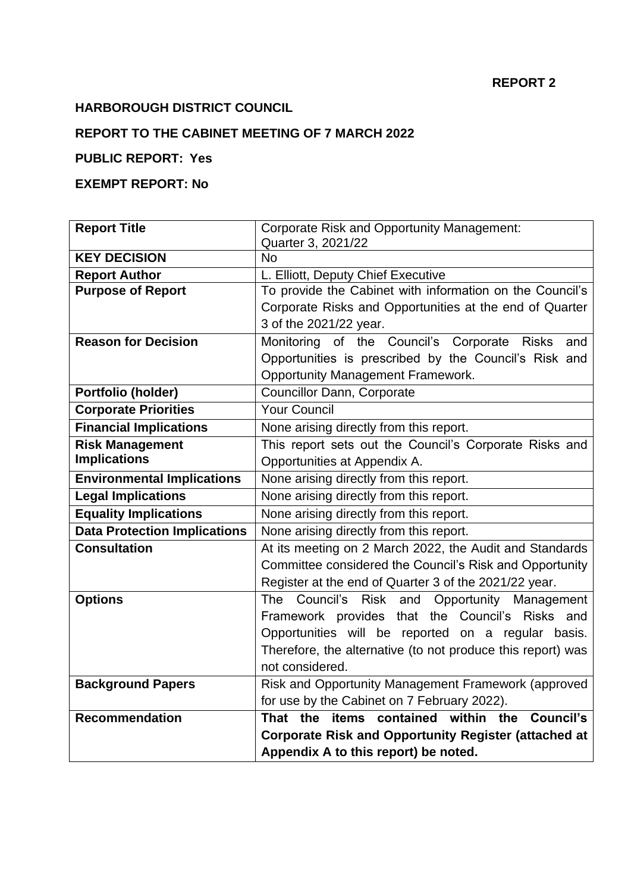## **REPORT 2**

# **HARBOROUGH DISTRICT COUNCIL**

## **REPORT TO THE CABINET MEETING OF 7 MARCH 2022**

# **PUBLIC REPORT: Yes**

## **EXEMPT REPORT: No**

| <b>Report Title</b>                 | <b>Corporate Risk and Opportunity Management:</b>                |  |  |
|-------------------------------------|------------------------------------------------------------------|--|--|
|                                     | Quarter 3, 2021/22                                               |  |  |
| <b>KEY DECISION</b>                 | <b>No</b>                                                        |  |  |
| <b>Report Author</b>                | L. Elliott, Deputy Chief Executive                               |  |  |
| <b>Purpose of Report</b>            | To provide the Cabinet with information on the Council's         |  |  |
|                                     | Corporate Risks and Opportunities at the end of Quarter          |  |  |
|                                     | 3 of the 2021/22 year.                                           |  |  |
| <b>Reason for Decision</b>          | Monitoring of the Council's Corporate Risks<br>and               |  |  |
|                                     | Opportunities is prescribed by the Council's Risk and            |  |  |
|                                     | <b>Opportunity Management Framework.</b>                         |  |  |
| Portfolio (holder)                  | <b>Councillor Dann, Corporate</b>                                |  |  |
| <b>Corporate Priorities</b>         | <b>Your Council</b>                                              |  |  |
| <b>Financial Implications</b>       | None arising directly from this report.                          |  |  |
| <b>Risk Management</b>              | This report sets out the Council's Corporate Risks and           |  |  |
| <b>Implications</b>                 | Opportunities at Appendix A.                                     |  |  |
| <b>Environmental Implications</b>   | None arising directly from this report.                          |  |  |
| <b>Legal Implications</b>           | None arising directly from this report.                          |  |  |
| <b>Equality Implications</b>        | None arising directly from this report.                          |  |  |
| <b>Data Protection Implications</b> | None arising directly from this report.                          |  |  |
| <b>Consultation</b>                 | At its meeting on 2 March 2022, the Audit and Standards          |  |  |
|                                     | Committee considered the Council's Risk and Opportunity          |  |  |
|                                     | Register at the end of Quarter 3 of the 2021/22 year.            |  |  |
| <b>Options</b>                      | Council's<br><b>Risk</b><br>Opportunity Management<br>The<br>and |  |  |
|                                     | Framework provides that the Council's Risks and                  |  |  |
|                                     | Opportunities will be reported on a regular basis.               |  |  |
|                                     | Therefore, the alternative (to not produce this report) was      |  |  |
|                                     | not considered.                                                  |  |  |
| <b>Background Papers</b>            | Risk and Opportunity Management Framework (approved              |  |  |
|                                     | for use by the Cabinet on 7 February 2022).                      |  |  |
| <b>Recommendation</b>               | That the items contained within the<br>Council's                 |  |  |
|                                     | <b>Corporate Risk and Opportunity Register (attached at</b>      |  |  |
|                                     | Appendix A to this report) be noted.                             |  |  |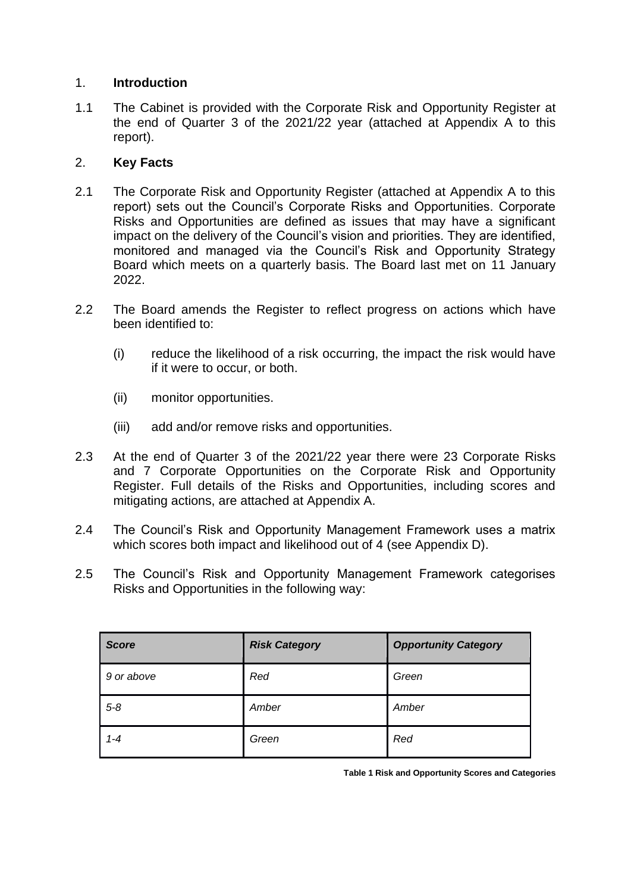### 1. **Introduction**

1.1 The Cabinet is provided with the Corporate Risk and Opportunity Register at the end of Quarter 3 of the 2021/22 year (attached at Appendix A to this report).

## 2. **Key Facts**

- 2.1 The Corporate Risk and Opportunity Register (attached at Appendix A to this report) sets out the Council's Corporate Risks and Opportunities. Corporate Risks and Opportunities are defined as issues that may have a significant impact on the delivery of the Council's vision and priorities. They are identified, monitored and managed via the Council's Risk and Opportunity Strategy Board which meets on a quarterly basis. The Board last met on 11 January 2022.
- 2.2 The Board amends the Register to reflect progress on actions which have been identified to:
	- (i) reduce the likelihood of a risk occurring, the impact the risk would have if it were to occur, or both.
	- (ii) monitor opportunities.
	- (iii) add and/or remove risks and opportunities.
- 2.3 At the end of Quarter 3 of the 2021/22 year there were 23 Corporate Risks and 7 Corporate Opportunities on the Corporate Risk and Opportunity Register. Full details of the Risks and Opportunities, including scores and mitigating actions, are attached at Appendix A.
- 2.4 The Council's Risk and Opportunity Management Framework uses a matrix which scores both impact and likelihood out of 4 (see Appendix D).
- 2.5 The Council's Risk and Opportunity Management Framework categorises Risks and Opportunities in the following way:

| <b>Score</b> | <b>Risk Category</b> | <b>Opportunity Category</b> |
|--------------|----------------------|-----------------------------|
| 9 or above   | Red                  | Green                       |
| $5 - 8$      | Amber                | Amber                       |
| $1 - 4$      | Green                | Red                         |

**Table 1 Risk and Opportunity Scores and Categories**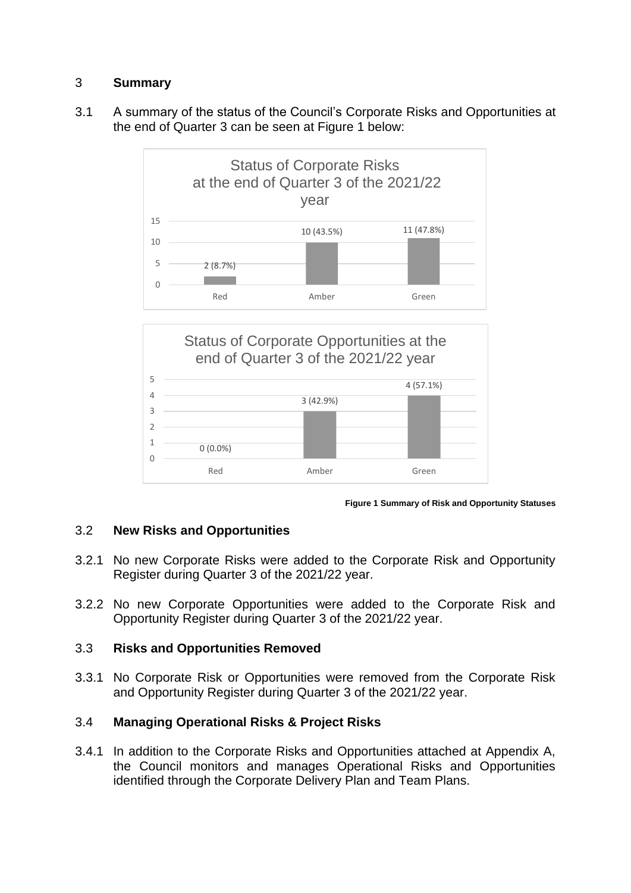## 3 **Summary**

3.1 A summary of the status of the Council's Corporate Risks and Opportunities at the end of Quarter 3 can be seen at Figure 1 below:





**Figure 1 Summary of Risk and Opportunity Statuses**

## 3.2 **New Risks and Opportunities**

- 3.2.1 No new Corporate Risks were added to the Corporate Risk and Opportunity Register during Quarter 3 of the 2021/22 year.
- 3.2.2 No new Corporate Opportunities were added to the Corporate Risk and Opportunity Register during Quarter 3 of the 2021/22 year.

### 3.3 **Risks and Opportunities Removed**

3.3.1 No Corporate Risk or Opportunities were removed from the Corporate Risk and Opportunity Register during Quarter 3 of the 2021/22 year.

## 3.4 **Managing Operational Risks & Project Risks**

3.4.1 In addition to the Corporate Risks and Opportunities attached at Appendix A, the Council monitors and manages Operational Risks and Opportunities identified through the Corporate Delivery Plan and Team Plans.